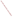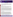# FACT SHEET

development

www.epa.gov/ord

research

# EPA's ETV Program Verifies Ambient Ammonia Analyzers

EPA's Environmental Technology Verification (ETV) Program, part of the National Risk Management Research Laboratory (NRMRL) headquartered in Cincinnati, Ohio, has verified the performance of ambient ammonia analyzers designed to measure ammonia emissions from animal feeding operations (AFOs).

## **Background**

**UNITED STAZ** 

**ENVIRON** 

AFOs are the largest source of atmospheric ammonia (NH<sub>3</sub>) emissions in the United States, accounting for more than 70% of those emissions. Ammonia has been shown to cause respiratory tract irritation and is highly reactive. It also combines with certain atmospheric pollutants to form secondary fine particulate matter known as  $PM<sub>2.5</sub>$ .

While ammonia emissions are not currently regulated at the federal level,  $PM<sub>2.5</sub>$  is regulated under the Federal Clean Air Act. Availability of analyzers that accurately measure ammonia is of critical importance in light of the growing need to assess ammonia emissions from AFOs. These analyzers help study patterns in ammonia emissions from AFOs and help evaluate the effectiveness of farm management practices and treatments to reduce ammonia emissions. There are a number of novel real-time, or near real-time, ammonia monitoring technologies that are commercially available and provide significant advantages over traditional integrated sampling techniques. These technologies provide continuous monitoring data that can be viewed remotely and are much less labor intensive than integrated sampling and analysis. However, performance data on the use of these technologies at AFOs have been limited until now.

#### **Performance Verification**

ETV, in cooperation with Battelle, an EPA partner, verified the performance of ammonia analyzers from seven companies. The verified analyzers utilize several different analytical technologies, and some have features useful in specialized ammonia measurement applications. The developers of the verified analyzers, working under Battelle's EPA cooperative agreement, are: Aerodyne Research, Inc.; Bruker Daltonics, Inc.; Mechatronics Instruments BV; Molecular Analytics; Pranalytica, Inc.; Ominsens SA; and Thermo Electron Corporation. The verification test was designed to evaluate relative accuracy, linearity, precision, response time, calibration and zero drift, interference effects, comparability, ease of use, and data completeness. The U.S. Department of Agriculture collaborated with EPA in completing these verifications. The verification test results for these analyzers are available on the ETV Web Site at http://www.epa.gov/etv/verifications/vcenter1-30.html.

more